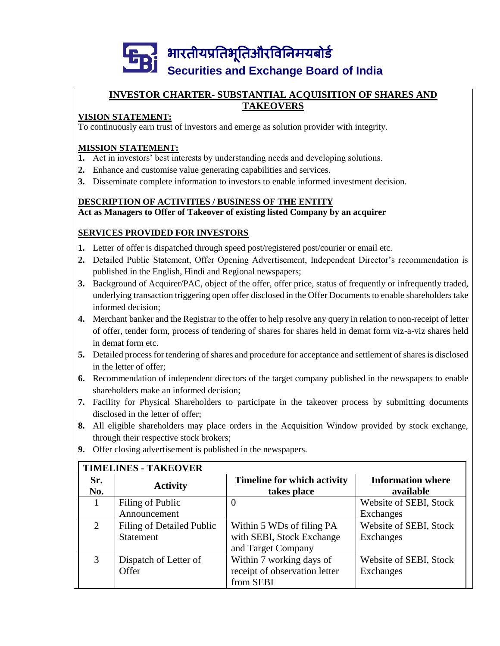

#### **INVESTOR CHARTER- SUBSTANTIAL ACQUISITION OF SHARES AND TAKEOVERS**

### **VISION STATEMENT:**

To continuously earn trust of investors and emerge as solution provider with integrity.

#### **MISSION STATEMENT:**

- **1.** Act in investors' best interests by understanding needs and developing solutions.
- **2.** Enhance and customise value generating capabilities and services.
- **3.** Disseminate complete information to investors to enable informed investment decision.

#### **DESCRIPTION OF ACTIVITIES / BUSINESS OF THE ENTITY Act as Managers to Offer of Takeover of existing listed Company by an acquirer**

### **SERVICES PROVIDED FOR INVESTORS**

- **1.** Letter of offer is dispatched through speed post/registered post/courier or email etc.
- **2.** Detailed Public Statement, Offer Opening Advertisement, Independent Director's recommendation is published in the English, Hindi and Regional newspapers;
- **3.** Background of Acquirer/PAC, object of the offer, offer price, status of frequently or infrequently traded, underlying transaction triggering open offer disclosed in the Offer Documents to enable shareholders take informed decision;
- **4.** Merchant banker and the Registrar to the offer to help resolve any query in relation to non-receipt of letter of offer, tender form, process of tendering of shares for shares held in demat form viz-a-viz shares held in demat form etc.
- **5.** Detailed process for tendering of shares and procedure for acceptance and settlement of shares is disclosed in the letter of offer;
- **6.** Recommendation of independent directors of the target company published in the newspapers to enable shareholders make an informed decision;
- **7.** Facility for Physical Shareholders to participate in the takeover process by submitting documents disclosed in the letter of offer;
- **8.** All eligible shareholders may place orders in the Acquisition Window provided by stock exchange, through their respective stock brokers;
- **9.** Offer closing advertisement is published in the newspapers.

| <b>TIMELINES - TAKEOVER</b> |                           |                                    |                          |  |  |
|-----------------------------|---------------------------|------------------------------------|--------------------------|--|--|
| Sr.                         |                           | <b>Timeline for which activity</b> | <b>Information where</b> |  |  |
| No.                         | <b>Activity</b>           | takes place                        | available                |  |  |
|                             | Filing of Public          | 0                                  | Website of SEBI, Stock   |  |  |
|                             | Announcement              |                                    | Exchanges                |  |  |
| $\mathfrak{D}$              | Filing of Detailed Public | Within 5 WDs of filing PA          | Website of SEBI, Stock   |  |  |
|                             | <b>Statement</b>          | with SEBI, Stock Exchange          | Exchanges                |  |  |
|                             |                           | and Target Company                 |                          |  |  |
| 3                           | Dispatch of Letter of     | Within 7 working days of           | Website of SEBI, Stock   |  |  |
|                             | Offer                     | receipt of observation letter      | Exchanges                |  |  |
|                             |                           | from SEBI                          |                          |  |  |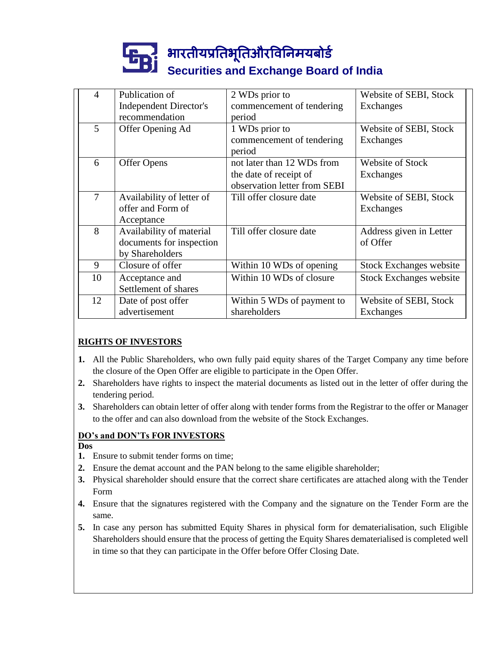# ]<br>|<mark>|</mark><br>|| securiti **Securities and Exchange Board of India**

| $\overline{4}$ | Publication of                | 2 WDs prior to               | Website of SEBI, Stock         |
|----------------|-------------------------------|------------------------------|--------------------------------|
|                | <b>Independent Director's</b> | commencement of tendering    | Exchanges                      |
|                | recommendation                | period                       |                                |
| 5              | Offer Opening Ad              | 1 WDs prior to               | Website of SEBI, Stock         |
|                |                               | commencement of tendering    | Exchanges                      |
|                |                               | period                       |                                |
| 6              | <b>Offer Opens</b>            | not later than 12 WDs from   | Website of Stock               |
|                |                               | the date of receipt of       | Exchanges                      |
|                |                               | observation letter from SEBI |                                |
| 7              | Availability of letter of     | Till offer closure date      | Website of SEBI, Stock         |
|                | offer and Form of             |                              | Exchanges                      |
|                | Acceptance                    |                              |                                |
| 8              | Availability of material      | Till offer closure date      | Address given in Letter        |
|                | documents for inspection      |                              | of Offer                       |
|                | by Shareholders               |                              |                                |
| 9              | Closure of offer              | Within 10 WDs of opening     | <b>Stock Exchanges website</b> |
| 10             | Acceptance and                | Within 10 WDs of closure     | <b>Stock Exchanges website</b> |
|                | Settlement of shares          |                              |                                |
| 12             | Date of post offer            | Within 5 WDs of payment to   | Website of SEBI, Stock         |
|                | advertisement                 | shareholders                 | Exchanges                      |

## **RIGHTS OF INVESTORS**

- **1.** All the Public Shareholders, who own fully paid equity shares of the Target Company any time before the closure of the Open Offer are eligible to participate in the Open Offer.
- **2.** Shareholders have rights to inspect the material documents as listed out in the letter of offer during the tendering period.
- **3.** Shareholders can obtain letter of offer along with tender forms from the Registrar to the offer or Manager to the offer and can also download from the website of the Stock Exchanges.

#### **DO's and DON'Ts FOR INVESTORS**

- **Dos**
- **1.** Ensure to submit tender forms on time;
- **2.** Ensure the demat account and the PAN belong to the same eligible shareholder;
- **3.** Physical shareholder should ensure that the correct share certificates are attached along with the Tender Form
- **4.** Ensure that the signatures registered with the Company and the signature on the Tender Form are the same.
- **5.** In case any person has submitted Equity Shares in physical form for dematerialisation, such Eligible Shareholders should ensure that the process of getting the Equity Shares dematerialised is completed well in time so that they can participate in the Offer before Offer Closing Date.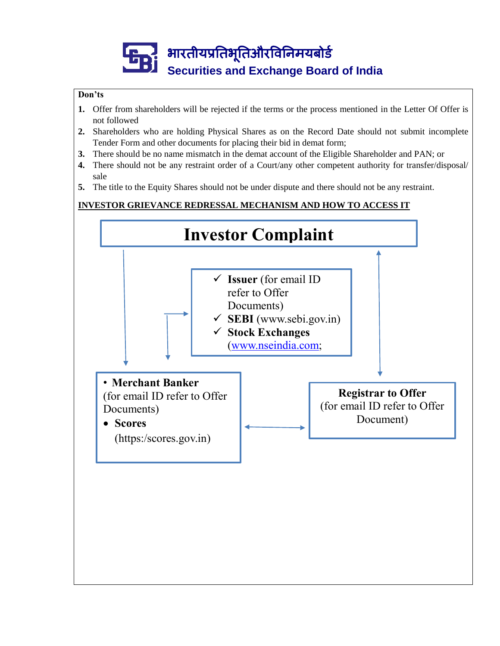# भारतीयप्रततभूततऔरवितिमयबोर्ड **Securities and Exchange Board of India**

#### **Don'ts**

- **1.** Offer from shareholders will be rejected if the terms or the process mentioned in the Letter Of Offer is not followed
- **2.** Shareholders who are holding Physical Shares as on the Record Date should not submit incomplete Tender Form and other documents for placing their bid in demat form;
- **3.** There should be no name mismatch in the demat account of the Eligible Shareholder and PAN; or
- **4.** There should not be any restraint order of a Court/any other competent authority for transfer/disposal/ sale
- **5.** The title to the Equity Shares should not be under dispute and there should not be any restraint.

#### **INVESTOR GRIEVANCE REDRESSAL MECHANISM AND HOW TO ACCESS IT**

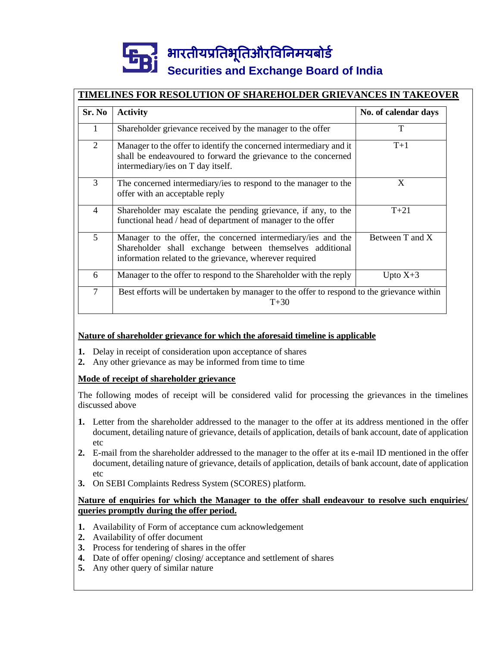# भारतीयप्रततभूततऔरवितिमयबोर्ड **Securities and Exchange Board of India**

# **TIMELINES FOR RESOLUTION OF SHAREHOLDER GRIEVANCES IN TAKEOVER**

| Sr. No         | <b>Activity</b>                                                                                                                                                                     | No. of calendar days |  |
|----------------|-------------------------------------------------------------------------------------------------------------------------------------------------------------------------------------|----------------------|--|
| 1              | Shareholder grievance received by the manager to the offer                                                                                                                          | T                    |  |
| 2              | Manager to the offer to identify the concerned intermediary and it<br>shall be endeavoured to forward the grievance to the concerned<br>intermediary/ies on T day itself.           | $T+1$                |  |
| 3              | The concerned intermediary/ies to respond to the manager to the<br>offer with an acceptable reply                                                                                   | X                    |  |
| $\overline{4}$ | Shareholder may escalate the pending grievance, if any, to the<br>functional head / head of department of manager to the offer                                                      | $T + 21$             |  |
| 5              | Manager to the offer, the concerned intermediary/ies and the<br>Shareholder shall exchange between themselves additional<br>information related to the grievance, wherever required | Between T and X      |  |
| 6              | Manager to the offer to respond to the Shareholder with the reply                                                                                                                   | Upto $X+3$           |  |
| $\overline{7}$ | Best efforts will be undertaken by manager to the offer to respond to the grievance within<br>$T + 30$                                                                              |                      |  |

#### **Nature of shareholder grievance for which the aforesaid timeline is applicable**

- **1.** Delay in receipt of consideration upon acceptance of shares
- **2.** Any other grievance as may be informed from time to time

#### **Mode of receipt of shareholder grievance**

The following modes of receipt will be considered valid for processing the grievances in the timelines discussed above

- **1.** Letter from the shareholder addressed to the manager to the offer at its address mentioned in the offer document, detailing nature of grievance, details of application, details of bank account, date of application etc
- **2.** E-mail from the shareholder addressed to the manager to the offer at its e-mail ID mentioned in the offer document, detailing nature of grievance, details of application, details of bank account, date of application etc
- **3.** On SEBI Complaints Redress System (SCORES) platform.

#### **Nature of enquiries for which the Manager to the offer shall endeavour to resolve such enquiries/ queries promptly during the offer period.**

- **1.** Availability of Form of acceptance cum acknowledgement
- **2.** Availability of offer document
- **3.** Process for tendering of shares in the offer
- **4.** Date of offer opening/ closing/ acceptance and settlement of shares
- **5.** Any other query of similar nature